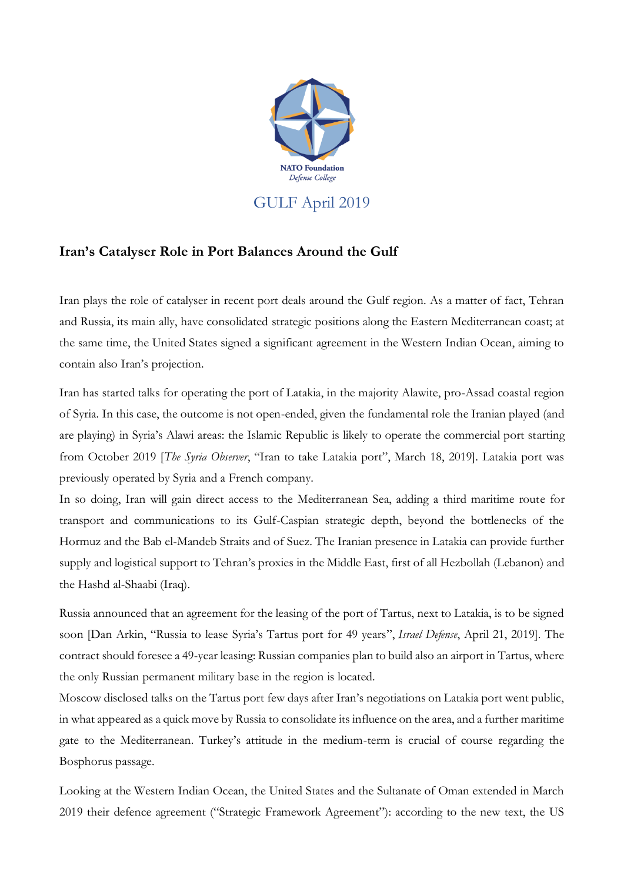

## **Iran's Catalyser Role in Port Balances Around the Gulf**

Iran plays the role of catalyser in recent port deals around the Gulf region. As a matter of fact, Tehran and Russia, its main ally, have consolidated strategic positions along the Eastern Mediterranean coast; at the same time, the United States signed a significant agreement in the Western Indian Ocean, aiming to contain also Iran's projection.

Iran has started talks for operating the port of Latakia, in the majority Alawite, pro-Assad coastal region of Syria. In this case, the outcome is not open-ended, given the fundamental role the Iranian played (and are playing) in Syria's Alawi areas: the Islamic Republic is likely to operate the commercial port starting from October 2019 [*The Syria Observer*, "Iran to take Latakia port", March 18, 2019]. Latakia port was previously operated by Syria and a French company.

In so doing, Iran will gain direct access to the Mediterranean Sea, adding a third maritime route for transport and communications to its Gulf-Caspian strategic depth, beyond the bottlenecks of the Hormuz and the Bab el-Mandeb Straits and of Suez. The Iranian presence in Latakia can provide further supply and logistical support to Tehran's proxies in the Middle East, first of all Hezbollah (Lebanon) and the Hashd al-Shaabi (Iraq).

Russia announced that an agreement for the leasing of the port of Tartus, next to Latakia, is to be signed soon [Dan Arkin, "Russia to lease Syria's Tartus port for 49 years", *Israel Defense*, April 21, 2019]. The contract should foresee a 49-year leasing: Russian companies plan to build also an airport in Tartus, where the only Russian permanent military base in the region is located.

Moscow disclosed talks on the Tartus port few days after Iran's negotiations on Latakia port went public, in what appeared as a quick move by Russia to consolidate its influence on the area, and a further maritime gate to the Mediterranean. Turkey's attitude in the medium-term is crucial of course regarding the Bosphorus passage.

Looking at the Western Indian Ocean, the United States and the Sultanate of Oman extended in March 2019 their defence agreement ("Strategic Framework Agreement"): according to the new text, the US